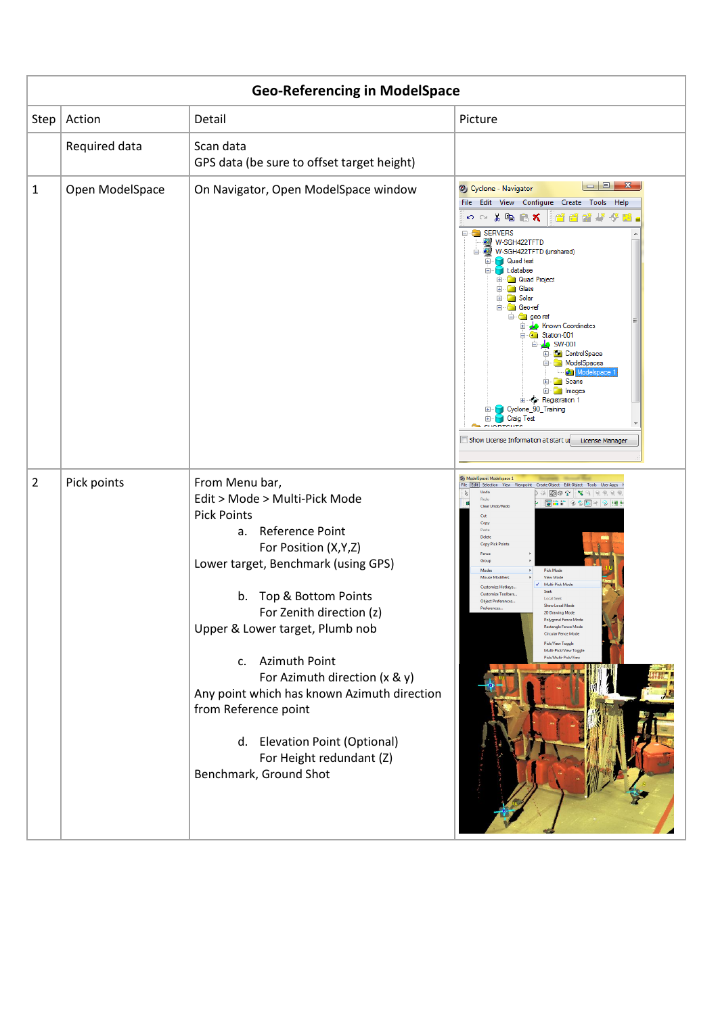|                | <b>Geo-Referencing in ModelSpace</b> |                                                                                                                                                                                                                                                                                                                                                                                                                                                                           |                                                                                                                                                                                                                                                                                                                                                                                                                                                                                                                                                                                                                                                                                                                                                                                                                                                                                                                                                                                                                                                                                                      |  |  |  |  |  |
|----------------|--------------------------------------|---------------------------------------------------------------------------------------------------------------------------------------------------------------------------------------------------------------------------------------------------------------------------------------------------------------------------------------------------------------------------------------------------------------------------------------------------------------------------|------------------------------------------------------------------------------------------------------------------------------------------------------------------------------------------------------------------------------------------------------------------------------------------------------------------------------------------------------------------------------------------------------------------------------------------------------------------------------------------------------------------------------------------------------------------------------------------------------------------------------------------------------------------------------------------------------------------------------------------------------------------------------------------------------------------------------------------------------------------------------------------------------------------------------------------------------------------------------------------------------------------------------------------------------------------------------------------------------|--|--|--|--|--|
| Step           | Action                               | Detail                                                                                                                                                                                                                                                                                                                                                                                                                                                                    | Picture                                                                                                                                                                                                                                                                                                                                                                                                                                                                                                                                                                                                                                                                                                                                                                                                                                                                                                                                                                                                                                                                                              |  |  |  |  |  |
|                | Required data                        | Scan data<br>GPS data (be sure to offset target height)                                                                                                                                                                                                                                                                                                                                                                                                                   |                                                                                                                                                                                                                                                                                                                                                                                                                                                                                                                                                                                                                                                                                                                                                                                                                                                                                                                                                                                                                                                                                                      |  |  |  |  |  |
| 1              | Open ModelSpace                      | On Navigator, Open ModelSpace window                                                                                                                                                                                                                                                                                                                                                                                                                                      | $\begin{array}{c c c c c} \hline \multicolumn{3}{c }{\mathbf{m}} & \multicolumn{3}{c }{\mathbf{m}} & \multicolumn{3}{c }{\mathbf{X}} \multicolumn{3}{c }{\mathbf{m}} & \multicolumn{3}{c }{\mathbf{m}} & \multicolumn{3}{c }{\mathbf{m}} & \multicolumn{3}{c }{\mathbf{m}} & \multicolumn{3}{c }{\mathbf{m}} & \multicolumn{3}{c }{\mathbf{m}} & \multicolumn{3}{c }{\mathbf{m}} & \multicolumn{3}{c }{\mathbf{m}} & \multicolumn{3}{c }{\mathbf{m}}$<br>2) Cyclone - Navigator<br>File Edit View Configure Create Tools Help<br>の○る陶启ズ<br>47 G B<br><b>E-C SERVERS</b><br>W-SGH422TFTD<br>W-SGH422TFTD (unshared)<br><b>Quad test</b><br>Œ.<br>didatabse<br><b>E-Contract Project</b><br><b>E</b> Glass<br>E Solar<br><sup>□</sup> Geo-ref<br><b>E</b> georef<br><b>E</b> Jo Known Coordinates<br>G Station-001<br><b>⊟</b> ு <u>A</u> C SW-001<br><b>E</b> ControlSpace<br>ModelSpaces<br>Ξ.<br>Modelspace<br>E Scans<br>E- Images<br>由 <b>Registration 1</b><br>Cyclone_90_Training<br>⊕<br>Ėŀ<br><b>Craig Test</b><br><b>COMMENTS</b><br>Show License Information at start up<br>License Manager |  |  |  |  |  |
| $\overline{2}$ | Pick points                          | From Menu bar,<br>Edit > Mode > Multi-Pick Mode<br><b>Pick Points</b><br>Reference Point<br>a.<br>For Position (X,Y,Z)<br>Lower target, Benchmark (using GPS)<br>b. Top & Bottom Points<br>For Zenith direction (z)<br>Upper & Lower target, Plumb nob<br>c. Azimuth Point<br>For Azimuth direction (x & y)<br>Any point which has known Azimuth direction<br>from Reference point<br>d. Elevation Point (Optional)<br>For Height redundant (Z)<br>Benchmark, Ground Shot | 3) ModelSpace: Modelspace 1<br>File Edit   Selection View Viewpoint Create Object Edit Object Tools User Apps<br>Undo<br>ry.<br>Redo<br>Clear Undo/Redo<br>Cut<br>Copy<br>Paste<br>Delete<br><b>Copy Pick Point</b><br>Fence<br>Group<br><b>Pick Mode</b><br>Modes<br><b>View Mode</b><br><b>Mouse Modifiers</b><br>Multi-Pick Mode<br>Customize Hotkeys.<br><b>Seek</b><br><b>Customize Toolbars</b><br><b>Local Seek</b><br><b>Object Preferences</b><br>Show Local Mode<br>Preferences<br>2D Drawing Mode<br>Polygonal Fence M<br>Rectangle Fence Mode<br>Circular Fence Mode<br><b>Pick/View Toggle</b><br>Multi-Pick/View Toggle<br>Pick/Multi-Pick/View                                                                                                                                                                                                                                                                                                                                                                                                                                        |  |  |  |  |  |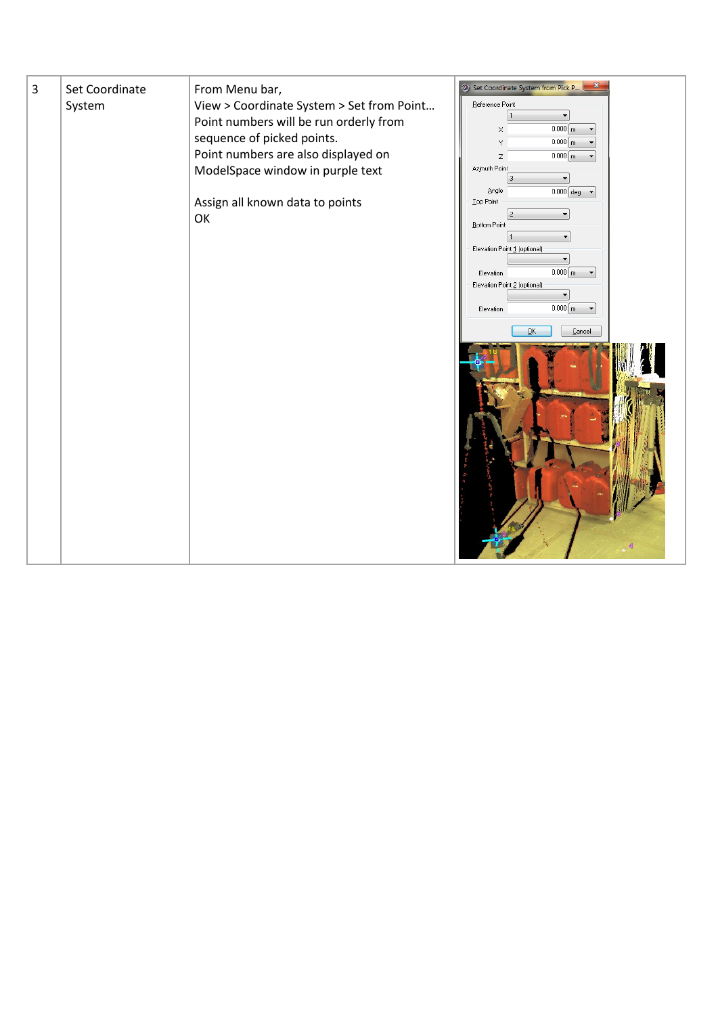| 3 | Set Coordinate<br>System | From Menu bar,<br>View > Coordinate System > Set from Point<br>Point numbers will be run orderly from<br>sequence of picked points.<br>Point numbers are also displayed on<br>ModelSpace window in purple text<br>Assign all known data to points<br>OK | 5 Set Coordinate System from Pick P<br>Reference Point<br>$0.000$ m<br>×<br>$0.000$ m<br>Y<br>$0.000$ m<br>Ζ<br>$\blacktriangledown$<br>Azimuth Point<br>3<br>$\blacktriangledown$<br>Angle<br>$0.000$ deg $\blacktriangledown$<br>Top Point<br><b>Bottom Point</b><br>Elevation Point 1 (optional)<br>$0.000$ m<br>Elevation<br>Elevation Point 2 (optional)<br>۰<br>$0.000 \left[ m \right]$ $\leftarrow$<br>Elevation<br>$\overline{\mathsf{D}}\mathsf{K}$<br>$\ensuremath{\underline{\mathbb{C}}}$ ancel<br>4 |
|---|--------------------------|---------------------------------------------------------------------------------------------------------------------------------------------------------------------------------------------------------------------------------------------------------|-------------------------------------------------------------------------------------------------------------------------------------------------------------------------------------------------------------------------------------------------------------------------------------------------------------------------------------------------------------------------------------------------------------------------------------------------------------------------------------------------------------------|
|---|--------------------------|---------------------------------------------------------------------------------------------------------------------------------------------------------------------------------------------------------------------------------------------------------|-------------------------------------------------------------------------------------------------------------------------------------------------------------------------------------------------------------------------------------------------------------------------------------------------------------------------------------------------------------------------------------------------------------------------------------------------------------------------------------------------------------------|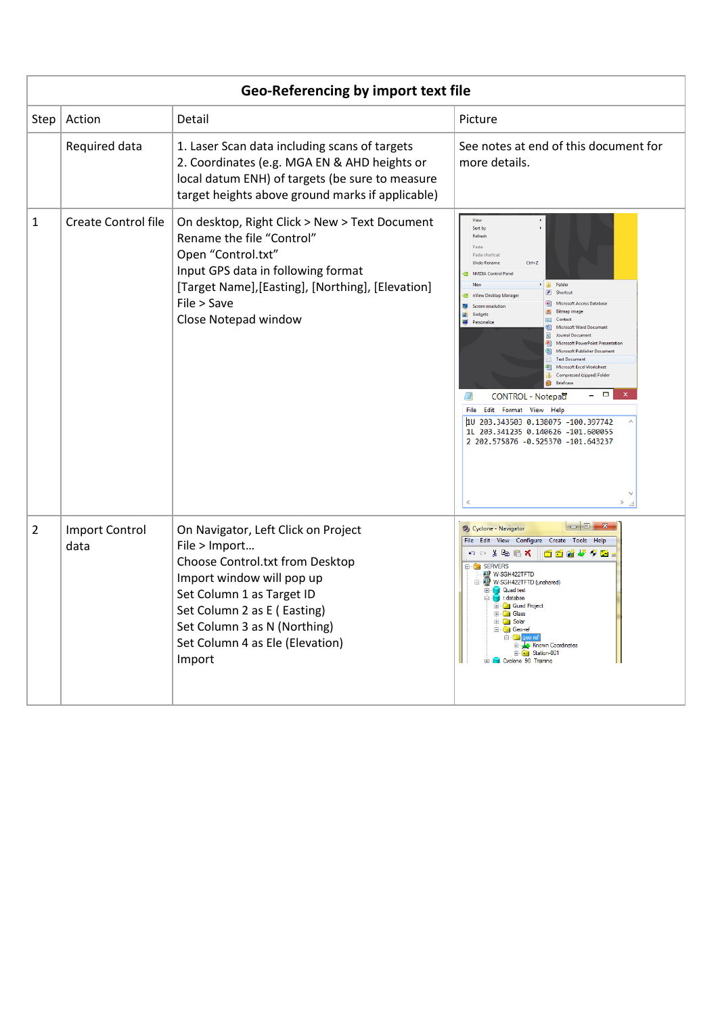| Geo-Referencing by import text file |                               |                                                                                                                                                                                                                                                               |                                                                                                                                                                                                                                                                                                                                                                                                                                                                                                                                                                                                                                                                                                                                                                                    |  |  |
|-------------------------------------|-------------------------------|---------------------------------------------------------------------------------------------------------------------------------------------------------------------------------------------------------------------------------------------------------------|------------------------------------------------------------------------------------------------------------------------------------------------------------------------------------------------------------------------------------------------------------------------------------------------------------------------------------------------------------------------------------------------------------------------------------------------------------------------------------------------------------------------------------------------------------------------------------------------------------------------------------------------------------------------------------------------------------------------------------------------------------------------------------|--|--|
| Step                                | Action                        | Detail                                                                                                                                                                                                                                                        | Picture                                                                                                                                                                                                                                                                                                                                                                                                                                                                                                                                                                                                                                                                                                                                                                            |  |  |
|                                     | Required data                 | 1. Laser Scan data including scans of targets<br>2. Coordinates (e.g. MGA EN & AHD heights or<br>local datum ENH) of targets (be sure to measure<br>target heights above ground marks if applicable)                                                          | See notes at end of this document for<br>more details.                                                                                                                                                                                                                                                                                                                                                                                                                                                                                                                                                                                                                                                                                                                             |  |  |
| 1                                   | <b>Create Control file</b>    | On desktop, Right Click > New > Text Document<br>Rename the file "Control"<br>Open "Control.txt"<br>Input GPS data in following format<br>[Target Name], [Easting], [Northing], [Elevation]<br>File > Save<br>Close Notepad window                            | View<br>Sort by<br>Refresh<br>Paste<br>Paste shortcut<br>$Ctrl + Z$<br><b>Undo Rename</b><br>NVIDIA Control Panel<br>Folder<br>New<br>- 13<br>B Shortcut<br>nView Desktop Manager<br>Ø<br>(4) Microsoft Access Database<br><b>EE</b> Screen resolution<br><b>Bitmap image</b><br><b>Gadgets</b><br><b>Gall</b> Contact<br>Personalize<br>Microsoft Word Docu<br>Journal Document<br>ida)<br><b>B</b> ] Microsoft PowerPoint Presenta<br>Microsoft Publisher Documen<br>C) I<br><b>Text Document</b><br>Microsoft Excel Worksheet<br>k⊒n<br>Compressed (zipped) Folder<br>Briefcase<br>π<br>国<br>CONTROL - Notepad<br>File Edit Format View Help<br>1U 203.343503 0.138075 -100.397742<br>1L 203.341235 0.140626 -101.600055<br>2 202.575876 -0.525370 -101.643237<br>$\rightarrow$ |  |  |
| 2                                   | <b>Import Control</b><br>data | On Navigator, Left Click on Project<br>File > Import<br>Choose Control.txt from Desktop<br>Import window will pop up<br>Set Column 1 as Target ID<br>Set Column 2 as E (Easting)<br>Set Column 3 as N (Northing)<br>Set Column 4 as Ele (Elevation)<br>Import | Cyclone - Navigator<br>File Edit View Configure Create Tools Help<br>$n \circ k$ to $\mathbf{R}$<br>自己动作者因<br><b>SERVERS</b><br>W-SGH422TFTD<br>W-SGH422TFTD (unshared)<br><b>E</b> Quad test<br><b>Contract of the Line</b><br><b>E-Coll Quad Project</b><br><b>Glass</b><br><b>Fig. 1</b> Solar<br>Geo-ref<br>$\blacksquare$ aeo r<br>Known Coordinates<br>Given Station-001<br><b>E-1</b> Cyclone 90 Training                                                                                                                                                                                                                                                                                                                                                                   |  |  |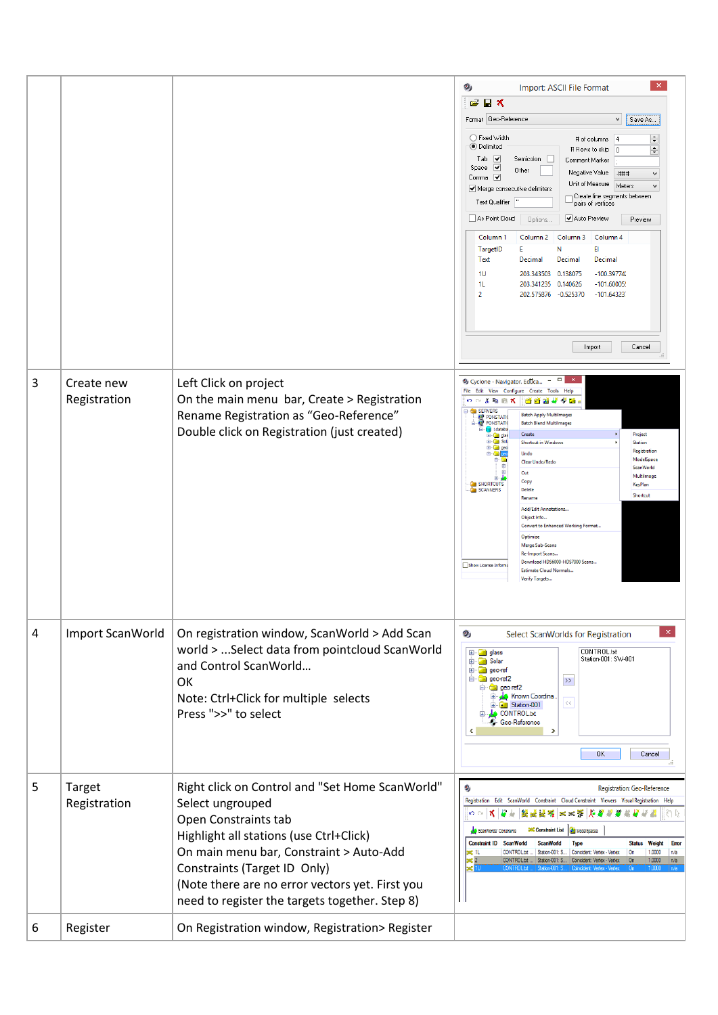|   |                               |                                                                                                                                                                                                                                                                                                                        | $\boldsymbol{\mathsf{x}}$<br>2<br>Import: ASCII File Format<br>Ê<br>日×<br>Format Geo-Reference<br>$\checkmark$<br>Save As<br>◯ Fixed Width<br>÷<br># of columns<br> 4<br>● Delimited<br># Rows to skip<br>÷<br>١o<br>Tab<br>⊻<br>Semicolon  <br>Comment Marker<br>Space $\sqrt{}$<br>Other<br>Negative Value<br>$+$ ###<br>$\mathbf{v}$<br>Comma $\boxed{\blacktriangledown}$<br>Unit of Measure<br>Meters<br>v<br>Merge consecutive delimiters<br>Create line segments between<br>Text Qualifier<br>pairs of vertices<br>As Point Cloud<br>Auto Preview<br>Options.<br>Preview<br>Column <sub>1</sub><br>Column 3<br>Column 4<br>Column <sub>2</sub><br>TargetID<br>E.<br>Ν<br>EI<br>Text<br>Decimal<br>Decimal<br>Decimal<br>$-100.39774'$<br>1U<br>203.343503 0.138075<br>$-101,60005$<br>11.<br>203.341235 0.140626<br>$\overline{2}$<br>202.575876 -0.525370<br>$-101.64323$<br>Import<br>Cancel |
|---|-------------------------------|------------------------------------------------------------------------------------------------------------------------------------------------------------------------------------------------------------------------------------------------------------------------------------------------------------------------|-------------------------------------------------------------------------------------------------------------------------------------------------------------------------------------------------------------------------------------------------------------------------------------------------------------------------------------------------------------------------------------------------------------------------------------------------------------------------------------------------------------------------------------------------------------------------------------------------------------------------------------------------------------------------------------------------------------------------------------------------------------------------------------------------------------------------------------------------------------------------------------------------------|
| 3 | Create new<br>Registration    | Left Click on project<br>On the main menu bar, Create > Registration<br>Rename Registration as "Geo-Reference"<br>Double click on Registration (just created)                                                                                                                                                          | $ -$<br>2 Cyclone - Navigator. Educa<br>File Edit View Configure Create Tools Help<br>の○る臨危犬<br>662 V J B<br><b>B</b> SERVERS<br><b>Batch Apply Multilmages</b><br><b>PONSTATK</b><br><b>PONSTATK</b><br><b>Batch Blend Multilmages</b><br>databa<br>Create<br>Project<br><b>Call</b> glas<br><b>ED-DEE</b> Solu<br>Shortcut in Windows<br><b>Station</b><br>E geo<br>Registration<br>Undo<br>ModelSpace<br>Clear Undo/Redo<br>ScanWorld<br>Cut<br>Multilmage<br>Copy<br>SHORTCUTS<br>KeyPlan<br><b>Canners</b><br>Delete<br>Shortcut<br>Rename<br>Add/Edit Annotations<br>Object Info<br>Convert to Enhanced Working Format<br>Optimize<br>Merge Sub-Scans<br>Re-Import Scans.<br>Download HDS6000-HDS7000 Scans<br>Show License Inform<br><b>Estimate Cloud Normals</b><br>Verify Targets                                                                                                           |
| 4 | Import ScanWorld              | On registration window, ScanWorld > Add Scan<br>world >  Select data from pointcloud ScanWorld<br>and Control ScanWorld<br>OK<br>Note: Ctrl+Click for multiple selects<br>Press ">>" to select                                                                                                                         | Ø<br>Select ScanWorlds for Registration<br>CONTROL.bit<br><b>E</b> a glass<br>Station-001: SW-001<br><b>B</b> Solar<br>E geo-ref<br><b>B</b> geo-ref2<br>$\rightarrow$<br>⊟ · Gal geonef2<br>Known Coordina.<br>$<<$<br>Station-001<br><b>CONTROLtd</b><br><b>Geo-Reference</b><br>≺<br>0K<br>Cancel                                                                                                                                                                                                                                                                                                                                                                                                                                                                                                                                                                                                  |
| 5 | <b>Target</b><br>Registration | Right click on Control and "Set Home ScanWorld"<br>Select ungrouped<br>Open Constraints tab<br>Highlight all stations (use Ctrl+Click)<br>On main menu bar, Constraint > Auto-Add<br>Constraints (Target ID Only)<br>(Note there are no error vectors yet. First you<br>need to register the targets together. Step 8) | Registration: Geo-Reference<br>Registration Edit ScanWorld Constraint Cloud Constraint Viewers Visual Registration Help<br>计算数单数第二人数据数据<br>$\mathbf{K} \propto \mathbf{K}$<br><b>SIC Constraint List</b><br>ModelSpaces<br>ScanWorlds' Constraints<br>Constraint ID ScanWorld<br>Status Weight Error<br><b>ScanWorld</b><br><b>Type</b><br>50C 1L<br>1.0000<br>CONTROL.bd<br>Station-001: S.<br>Coincident: Vertex - Vertex<br>n/a<br>On<br>1.0000<br>CONTROL.bd<br>Station-001: S.<br>Coincident: Vertex - Vertex<br>On<br>n/a                                                                                                                                                                                                                                                                                                                                                                       |
| 6 | Register                      | On Registration window, Registration> Register                                                                                                                                                                                                                                                                         |                                                                                                                                                                                                                                                                                                                                                                                                                                                                                                                                                                                                                                                                                                                                                                                                                                                                                                       |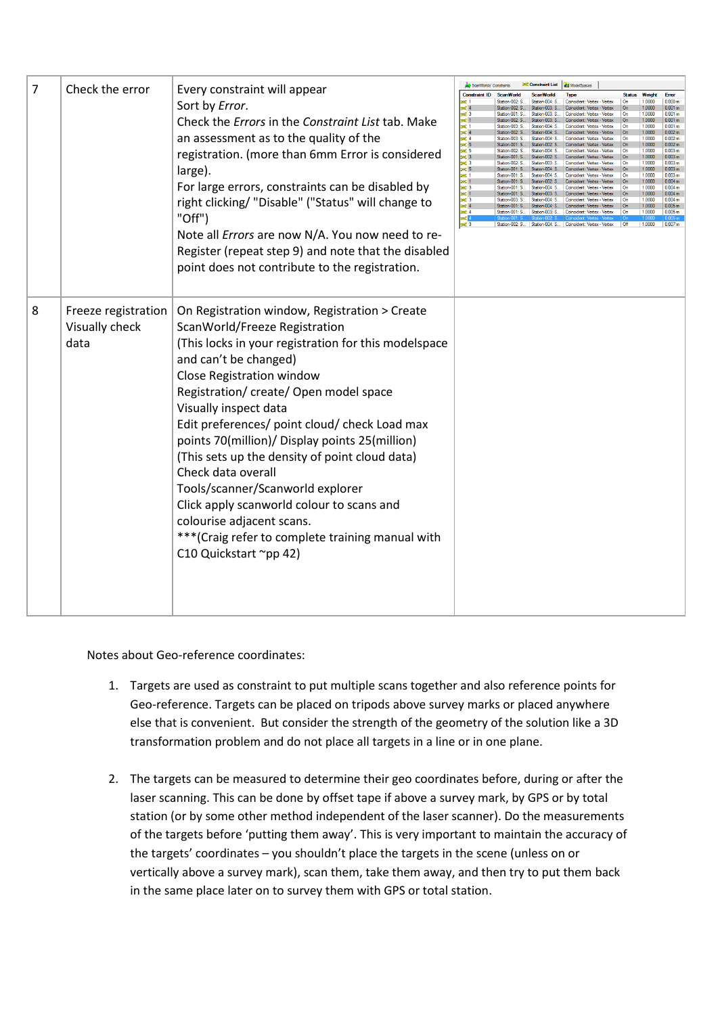| 7 | Check the error                               | Every constraint will appear<br>Sort by Error.<br>Check the Errors in the Constraint List tab. Make<br>an assessment as to the quality of the<br>registration. (more than 6mm Error is considered<br>large).<br>For large errors, constraints can be disabled by<br>right clicking/ "Disable" ("Status" will change to<br>"Off")<br>Note all Errors are now N/A. You now need to re-<br>Register (repeat step 9) and note that the disabled<br>point does not contribute to the registration.                                                                                                                                           | ScanWorlds' Constraints<br><b>Constraint ID</b><br>sec <sub>3</sub><br>se 1<br><b>x</b><br><b>x</b><br><b>x</b><br><b>x</b><br><b>x</b><br><b>x</b><br><b>x</b> | ScanWorld<br>Sation-002: S<br>$Station-001:$ S<br>Station-002: S.<br>Station-003: S<br>Station-002: S<br>Station-001: S.<br>Station-002: S.<br>Station-001: S<br>Station-001: S<br>Station-001: S<br>Station-001: S.<br>Station-001: S.<br>Station-001: S., | <b>BKC</b> Constraint List<br>Station-004: S<br>Station-003: S<br>Station-003: S<br>Station-003: S.<br>Station-004: S<br>Station-004: S<br>Station-004: S.<br>Station-002: S<br>Station-004: S.<br>Station-002: S.<br>Station-002: $S = S$ Station-003: $S = S$<br>Station-004: S.<br>Station-004: S<br>Station-002: S.<br>Station-004: S<br>Station-003: S.<br>Station-003: S   Station-004: S<br>Station-004: S.<br>Station-003: S. | ModelSpaces<br>Type<br>Coincident: Vertex - Vertex<br>Coincident: Vertex - Vertex<br>Coincident: Vertex - Vertex<br>Coincident:<br>Coincident: Vertex - Vertex<br>Coincident: Vertex - Vertex<br>Coincident: Vertex - Vertex<br>Coincident: Vertex - Vertex<br>Coincident: Vertex - Vertex<br>Coincident: Vertex - Vertex<br>Coincident: Vertex - Vertex<br>Coincident: Vertex - Vertex<br>Coincident: Vertex - Vertex<br>Coincident: Vertex - Vertex<br>Coincident: Vertex - Vertex<br>Coincident: Vertex -<br>Station-002: S Station-004: S Coincident: Vertex - Vertex | <b>Status</b><br>$\Omega$<br>∩<br>.On<br>On<br>On<br>On<br>0r<br>l On<br><b>On</b><br>$\Omega$<br>On<br>l Or<br>On<br>l Or<br>Off | Weight<br>1.0000<br>1.0000<br>1,0000<br>1.0000<br>1.0000<br>1.0000<br>1.0000<br>1.0000<br>1.0000<br>1.0000<br>1,0000<br>1.0000<br>1,0000<br>1.0000<br>1.0000<br>1.0000<br>1.0000<br>1.0000<br>1.0000<br>1.0000 | Error<br>0.000 <sub>m</sub><br>0.001 m<br>0.001 <sub>m</sub><br>0.001 m<br>0.001 m<br>0.002 m<br>0.002 <sub>π</sub><br>0.002 <sub>m</sub><br>0.003 <sub>π</sub><br>0.003 m<br>0.003 m<br>0.003 <sub>m</sub><br>0.003 m<br>0.004 <sub>m</sub><br>0.004 <sub>m</sub><br>0.004 <sub>m</sub><br>0.004 m<br>0.005 m<br>0.005 m<br>0.007m |
|---|-----------------------------------------------|-----------------------------------------------------------------------------------------------------------------------------------------------------------------------------------------------------------------------------------------------------------------------------------------------------------------------------------------------------------------------------------------------------------------------------------------------------------------------------------------------------------------------------------------------------------------------------------------------------------------------------------------|-----------------------------------------------------------------------------------------------------------------------------------------------------------------|-------------------------------------------------------------------------------------------------------------------------------------------------------------------------------------------------------------------------------------------------------------|---------------------------------------------------------------------------------------------------------------------------------------------------------------------------------------------------------------------------------------------------------------------------------------------------------------------------------------------------------------------------------------------------------------------------------------|---------------------------------------------------------------------------------------------------------------------------------------------------------------------------------------------------------------------------------------------------------------------------------------------------------------------------------------------------------------------------------------------------------------------------------------------------------------------------------------------------------------------------------------------------------------------------|-----------------------------------------------------------------------------------------------------------------------------------|----------------------------------------------------------------------------------------------------------------------------------------------------------------------------------------------------------------|-------------------------------------------------------------------------------------------------------------------------------------------------------------------------------------------------------------------------------------------------------------------------------------------------------------------------------------|
| 8 | Freeze registration<br>Visually check<br>data | On Registration window, Registration > Create<br>ScanWorld/Freeze Registration<br>(This locks in your registration for this modelspace<br>and can't be changed)<br>Close Registration window<br>Registration/ create/ Open model space<br>Visually inspect data<br>Edit preferences/ point cloud/ check Load max<br>points 70(million)/ Display points 25(million)<br>(This sets up the density of point cloud data)<br>Check data overall<br>Tools/scanner/Scanworld explorer<br>Click apply scanworld colour to scans and<br>colourise adjacent scans.<br>*** (Craig refer to complete training manual with<br>C10 Quickstart ~pp 42) |                                                                                                                                                                 |                                                                                                                                                                                                                                                             |                                                                                                                                                                                                                                                                                                                                                                                                                                       |                                                                                                                                                                                                                                                                                                                                                                                                                                                                                                                                                                           |                                                                                                                                   |                                                                                                                                                                                                                |                                                                                                                                                                                                                                                                                                                                     |

Notes about Geo-reference coordinates:

- 1. Targets are used as constraint to put multiple scans together and also reference points for Geo-reference. Targets can be placed on tripods above survey marks or placed anywhere else that is convenient. But consider the strength of the geometry of the solution like a 3D transformation problem and do not place all targets in a line or in one plane.
- 2. The targets can be measured to determine their geo coordinates before, during or after the laser scanning. This can be done by offset tape if above a survey mark, by GPS or by total station (or by some other method independent of the laser scanner). Do the measurements of the targets before 'putting them away'. This is very important to maintain the accuracy of the targets' coordinates – you shouldn't place the targets in the scene (unless on or vertically above a survey mark), scan them, take them away, and then try to put them back in the same place later on to survey them with GPS or total station.